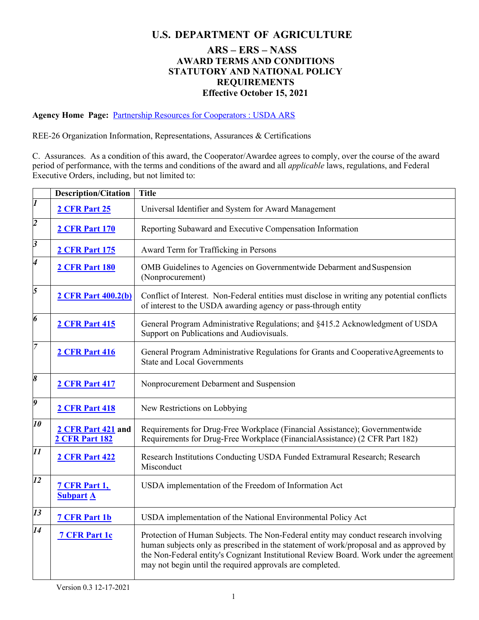## **U.S. DEPARTMENT OF AGRICULTURE**

## **ARS – ERS – NASS AWARD TERMS AND CONDITIONS STATUTORY AND NATIONAL POLICY REQUIREMENTS Effective October 15, 2021**

**Agency Home Page:** [Partnership Resources for Cooperators : USDA ARS](https://www.ars.usda.gov/afm/fmad/agreements/partnership-resources-for-cooperators/)

REE-26 Organization Information, Representations, Assurances & Certifications

C. Assurances. As a condition of this award, the Cooperator/Awardee agrees to comply, over the course of the award period of performance, with the terms and conditions of the award and all *applicable* laws, regulations, and Federal Executive Orders, including, but not limited to:

|                             | <b>Description/Citation</b>                 | <b>Title</b>                                                                                                                                                                                                                                                                                                                          |
|-----------------------------|---------------------------------------------|---------------------------------------------------------------------------------------------------------------------------------------------------------------------------------------------------------------------------------------------------------------------------------------------------------------------------------------|
| $\overline{\mathbf{I}}$     | 2 CFR Part 25                               | Universal Identifier and System for Award Management                                                                                                                                                                                                                                                                                  |
| $\overline{\mathbf{c}}$     | <b>2 CFR Part 170</b>                       | Reporting Subaward and Executive Compensation Information                                                                                                                                                                                                                                                                             |
| $\overline{\boldsymbol{3}}$ | <b>2 CFR Part 175</b>                       | Award Term for Trafficking in Persons                                                                                                                                                                                                                                                                                                 |
| 4                           | <b>2 CFR Part 180</b>                       | OMB Guidelines to Agencies on Governmentwide Debarment and Suspension<br>(Nonprocurement)                                                                                                                                                                                                                                             |
| 5                           | <b>2 CFR Part 400.2(b)</b>                  | Conflict of Interest. Non-Federal entities must disclose in writing any potential conflicts<br>of interest to the USDA awarding agency or pass-through entity                                                                                                                                                                         |
| 6                           | <b>2 CFR Part 415</b>                       | General Program Administrative Regulations; and §415.2 Acknowledgment of USDA<br>Support on Publications and Audiovisuals.                                                                                                                                                                                                            |
| $\overline{7}$              | <b>2 CFR Part 416</b>                       | General Program Administrative Regulations for Grants and CooperativeAgreements to<br><b>State and Local Governments</b>                                                                                                                                                                                                              |
| 8                           | <b>2 CFR Part 417</b>                       | Nonprocurement Debarment and Suspension                                                                                                                                                                                                                                                                                               |
| 9                           | <b>2 CFR Part 418</b>                       | New Restrictions on Lobbying                                                                                                                                                                                                                                                                                                          |
| 10                          | 2 CFR Part 421 and<br><b>2 CFR Part 182</b> | Requirements for Drug-Free Workplace (Financial Assistance); Governmentwide<br>Requirements for Drug-Free Workplace (FinancialAssistance) (2 CFR Part 182)                                                                                                                                                                            |
| 11                          | <b>2 CFR Part 422</b>                       | Research Institutions Conducting USDA Funded Extramural Research; Research<br>Misconduct                                                                                                                                                                                                                                              |
| 12                          | <b>7 CFR Part 1,</b><br><b>Subpart A</b>    | USDA implementation of the Freedom of Information Act                                                                                                                                                                                                                                                                                 |
| 13                          | 7 CFR Part 1b                               | USDA implementation of the National Environmental Policy Act                                                                                                                                                                                                                                                                          |
| 14                          | 7 CFR Part 1c                               | Protection of Human Subjects. The Non-Federal entity may conduct research involving<br>human subjects only as prescribed in the statement of work/proposal and as approved by<br>the Non-Federal entity's Cognizant Institutional Review Board. Work under the agreement<br>may not begin until the required approvals are completed. |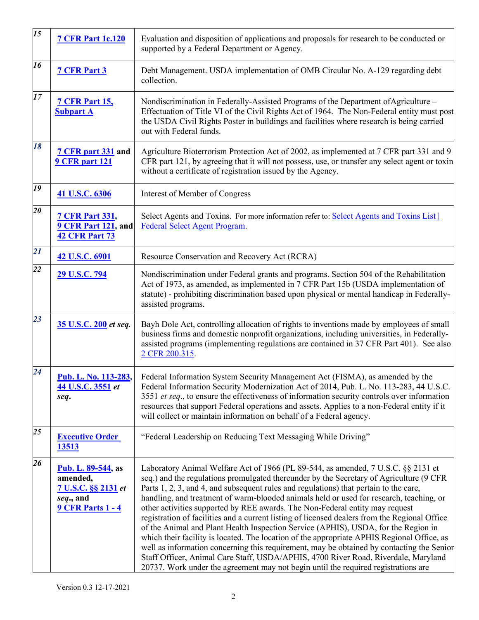| 15 | <b>7 CFR Part 1c.120</b>                                                                               | Evaluation and disposition of applications and proposals for research to be conducted or<br>supported by a Federal Department or Agency.                                                                                                                                                                                                                                                                                                                                                                                                                                                                                                                                                                                                                                                                                                                                                                                                                                                                       |
|----|--------------------------------------------------------------------------------------------------------|----------------------------------------------------------------------------------------------------------------------------------------------------------------------------------------------------------------------------------------------------------------------------------------------------------------------------------------------------------------------------------------------------------------------------------------------------------------------------------------------------------------------------------------------------------------------------------------------------------------------------------------------------------------------------------------------------------------------------------------------------------------------------------------------------------------------------------------------------------------------------------------------------------------------------------------------------------------------------------------------------------------|
| 16 | <b>7 CFR Part 3</b>                                                                                    | Debt Management. USDA implementation of OMB Circular No. A-129 regarding debt<br>collection.                                                                                                                                                                                                                                                                                                                                                                                                                                                                                                                                                                                                                                                                                                                                                                                                                                                                                                                   |
| 17 | <b>7 CFR Part 15,</b><br><b>Subpart A</b>                                                              | Nondiscrimination in Federally-Assisted Programs of the Department of Agriculture –<br>Effectuation of Title VI of the Civil Rights Act of 1964. The Non-Federal entity must post<br>the USDA Civil Rights Poster in buildings and facilities where research is being carried<br>out with Federal funds.                                                                                                                                                                                                                                                                                                                                                                                                                                                                                                                                                                                                                                                                                                       |
| 18 | 7 CFR part 331 and<br><b>9 CFR part 121</b>                                                            | Agriculture Bioterrorism Protection Act of 2002, as implemented at 7 CFR part 331 and 9<br>CFR part 121, by agreeing that it will not possess, use, or transfer any select agent or toxin<br>without a certificate of registration issued by the Agency.                                                                                                                                                                                                                                                                                                                                                                                                                                                                                                                                                                                                                                                                                                                                                       |
| 19 | 41 U.S.C. 6306                                                                                         | Interest of Member of Congress                                                                                                                                                                                                                                                                                                                                                                                                                                                                                                                                                                                                                                                                                                                                                                                                                                                                                                                                                                                 |
| 20 | <b>7 CFR Part 331,</b><br>9 CFR Part 121, and<br><b>42 CFR Part 73</b>                                 | Select Agents and Toxins. For more information refer to: Select Agents and Toxins List<br><b>Federal Select Agent Program.</b>                                                                                                                                                                                                                                                                                                                                                                                                                                                                                                                                                                                                                                                                                                                                                                                                                                                                                 |
| 21 | 42 U.S.C. 6901                                                                                         | Resource Conservation and Recovery Act (RCRA)                                                                                                                                                                                                                                                                                                                                                                                                                                                                                                                                                                                                                                                                                                                                                                                                                                                                                                                                                                  |
| 22 | 29 U.S.C. 794                                                                                          | Nondiscrimination under Federal grants and programs. Section 504 of the Rehabilitation<br>Act of 1973, as amended, as implemented in 7 CFR Part 15b (USDA implementation of<br>statute) - prohibiting discrimination based upon physical or mental handicap in Federally-<br>assisted programs.                                                                                                                                                                                                                                                                                                                                                                                                                                                                                                                                                                                                                                                                                                                |
| 23 | 35 U.S.C. 200 et seq.                                                                                  | Bayh Dole Act, controlling allocation of rights to inventions made by employees of small<br>business firms and domestic nonprofit organizations, including universities, in Federally-<br>assisted programs (implementing regulations are contained in 37 CFR Part 401). See also<br>2 CFR 200.315.                                                                                                                                                                                                                                                                                                                                                                                                                                                                                                                                                                                                                                                                                                            |
| 24 | Pub. L. No. 113-283,<br>44 U.S.C. 3551 et<br>seq.                                                      | Federal Information System Security Management Act (FISMA), as amended by the<br>Federal Information Security Modernization Act of 2014, Pub. L. No. 113-283, 44 U.S.C.<br>3551 et seq., to ensure the effectiveness of information security controls over information<br>resources that support Federal operations and assets. Applies to a non-Federal entity if it<br>will collect or maintain information on behalf of a Federal agency.                                                                                                                                                                                                                                                                                                                                                                                                                                                                                                                                                                   |
| 25 | <b>Executive Order</b><br>13513                                                                        | "Federal Leadership on Reducing Text Messaging While Driving"                                                                                                                                                                                                                                                                                                                                                                                                                                                                                                                                                                                                                                                                                                                                                                                                                                                                                                                                                  |
| 26 | <b>Pub. L. 89-544</b> , as<br>amended,<br>7 U.S.C. §§ 2131 et<br>seq., and<br><b>9 CFR Parts 1 - 4</b> | Laboratory Animal Welfare Act of 1966 (PL 89-544, as amended, 7 U.S.C. §§ 2131 et<br>seq.) and the regulations promulgated thereunder by the Secretary of Agriculture (9 CFR<br>Parts 1, 2, 3, and 4, and subsequent rules and regulations) that pertain to the care,<br>handling, and treatment of warm-blooded animals held or used for research, teaching, or<br>other activities supported by REE awards. The Non-Federal entity may request<br>registration of facilities and a current listing of licensed dealers from the Regional Office<br>of the Animal and Plant Health Inspection Service (APHIS), USDA, for the Region in<br>which their facility is located. The location of the appropriate APHIS Regional Office, as<br>well as information concerning this requirement, may be obtained by contacting the Senior<br>Staff Officer, Animal Care Staff, USDA/APHIS, 4700 River Road, Riverdale, Maryland<br>20737. Work under the agreement may not begin until the required registrations are |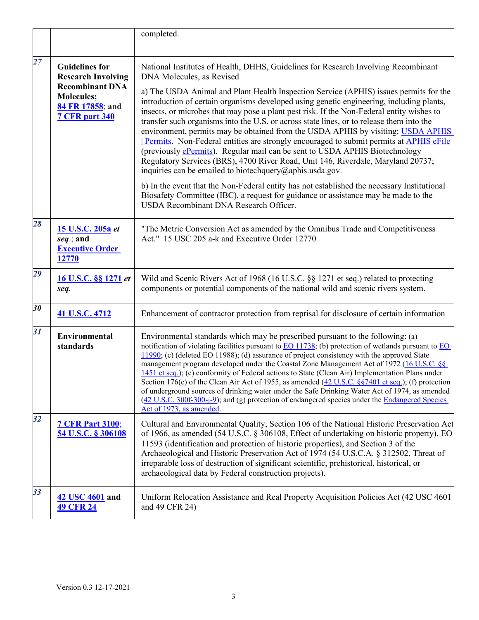|    |                                                                                                                                                | completed.                                                                                                                                                                                                                                                                                                                                                                                                                                                                                                                                                                                                                                                                                                                                                                                                                                      |
|----|------------------------------------------------------------------------------------------------------------------------------------------------|-------------------------------------------------------------------------------------------------------------------------------------------------------------------------------------------------------------------------------------------------------------------------------------------------------------------------------------------------------------------------------------------------------------------------------------------------------------------------------------------------------------------------------------------------------------------------------------------------------------------------------------------------------------------------------------------------------------------------------------------------------------------------------------------------------------------------------------------------|
| 27 | <b>Guidelines for</b><br><b>Research Involving</b><br><b>Recombinant DNA</b><br><b>Molecules;</b><br>84 FR 17858; and<br><b>7 CFR part 340</b> | National Institutes of Health, DHHS, Guidelines for Research Involving Recombinant<br>DNA Molecules, as Revised                                                                                                                                                                                                                                                                                                                                                                                                                                                                                                                                                                                                                                                                                                                                 |
|    |                                                                                                                                                | a) The USDA Animal and Plant Health Inspection Service (APHIS) issues permits for the<br>introduction of certain organisms developed using genetic engineering, including plants,<br>insects, or microbes that may pose a plant pest risk. If the Non-Federal entity wishes to<br>transfer such organisms into the U.S. or across state lines, or to release them into the<br>environment, permits may be obtained from the USDA APHIS by visiting: USDA APHIS<br>Permits. Non-Federal entities are strongly encouraged to submit permits at APHIS eFile<br>(previously <i>ePermits</i> ). Regular mail can be sent to USDA APHIS Biotechnology<br>Regulatory Services (BRS), 4700 River Road, Unit 146, Riverdale, Maryland 20737;<br>inquiries can be emailed to biotech query $(\partial \rho)$ aphis. usda.gov.                             |
|    |                                                                                                                                                | b) In the event that the Non-Federal entity has not established the necessary Institutional<br>Biosafety Committee (IBC), a request for guidance or assistance may be made to the<br>USDA Recombinant DNA Research Officer.                                                                                                                                                                                                                                                                                                                                                                                                                                                                                                                                                                                                                     |
| 28 | 15 U.S.C. 205a et<br>seq.; and<br><b>Executive Order</b><br>12770                                                                              | "The Metric Conversion Act as amended by the Omnibus Trade and Competitiveness<br>Act." 15 USC 205 a-k and Executive Order 12770                                                                                                                                                                                                                                                                                                                                                                                                                                                                                                                                                                                                                                                                                                                |
| 29 | 16 U.S.C. §§ 1271 et<br>seq.                                                                                                                   | Wild and Scenic Rivers Act of 1968 (16 U.S.C. §§ 1271 et seq.) related to protecting<br>components or potential components of the national wild and scenic rivers system.                                                                                                                                                                                                                                                                                                                                                                                                                                                                                                                                                                                                                                                                       |
| 30 | 41 U.S.C. 4712                                                                                                                                 | Enhancement of contractor protection from reprisal for disclosure of certain information                                                                                                                                                                                                                                                                                                                                                                                                                                                                                                                                                                                                                                                                                                                                                        |
| 31 | <b>Environmental</b><br>standards                                                                                                              | Environmental standards which may be prescribed pursuant to the following: (a)<br>notification of violating facilities pursuant to EO 11738; (b) protection of wetlands pursuant to EO<br>$11990$ ; (c) (deleted EO 11988); (d) assurance of project consistency with the approved State<br>management program developed under the Coastal Zone Management Act of 1972 (16 U.S.C. §§<br>1451 et seq.); (e) conformity of Federal actions to State (Clean Air) Implementation Plans under<br>Section 176(c) of the Clean Air Act of 1955, as amended $(42 \text{ U.S.C. } \S\$ $87401$ et seq.); (f) protection<br>of underground sources of drinking water under the Safe Drinking Water Act of 1974, as amended<br>(42 U.S.C. 300f-300-j-9); and (g) protection of endangered species under the Endangered Species<br>Act of 1973, as amended. |
| 32 | <b>7 CFR Part 3100;</b><br>54 U.S.C. § 306108                                                                                                  | Cultural and Environmental Quality; Section 106 of the National Historic Preservation Act<br>of 1966, as amended (54 U.S.C. § 306108, Effect of undertaking on historic property), EO<br>11593 (identification and protection of historic properties), and Section 3 of the<br>Archaeological and Historic Preservation Act of 1974 (54 U.S.C.A. § 312502, Threat of<br>irreparable loss of destruction of significant scientific, prehistorical, historical, or<br>archaeological data by Federal construction projects).                                                                                                                                                                                                                                                                                                                      |
| 33 | 42 USC 4601 and<br><b>49 CFR 24</b>                                                                                                            | Uniform Relocation Assistance and Real Property Acquisition Policies Act (42 USC 4601)<br>and 49 CFR 24)                                                                                                                                                                                                                                                                                                                                                                                                                                                                                                                                                                                                                                                                                                                                        |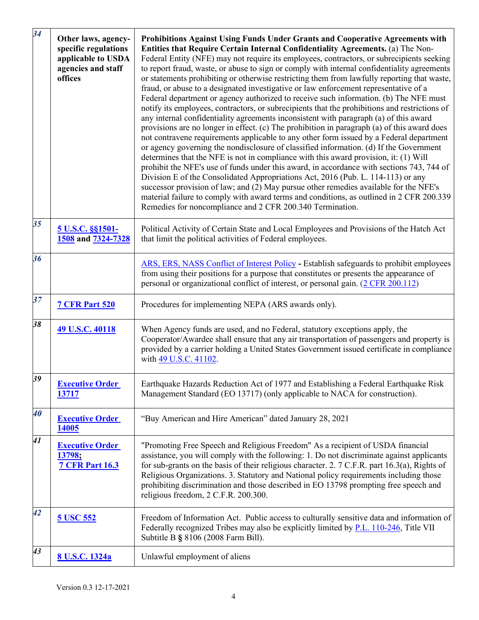| 34 | Other laws, agency-<br>specific regulations<br>applicable to USDA<br>agencies and staff<br>offices | Prohibitions Against Using Funds Under Grants and Cooperative Agreements with<br>Entities that Require Certain Internal Confidentiality Agreements. (a) The Non-<br>Federal Entity (NFE) may not require its employees, contractors, or subrecipients seeking<br>to report fraud, waste, or abuse to sign or comply with internal confidentiality agreements<br>or statements prohibiting or otherwise restricting them from lawfully reporting that waste,<br>fraud, or abuse to a designated investigative or law enforcement representative of a<br>Federal department or agency authorized to receive such information. (b) The NFE must<br>notify its employees, contractors, or subrecipients that the prohibitions and restrictions of<br>any internal confidentiality agreements inconsistent with paragraph (a) of this award<br>provisions are no longer in effect. (c) The prohibition in paragraph (a) of this award does<br>not contravene requirements applicable to any other form issued by a Federal department<br>or agency governing the nondisclosure of classified information. (d) If the Government<br>determines that the NFE is not in compliance with this award provision, it: (1) Will<br>prohibit the NFE's use of funds under this award, in accordance with sections 743, 744 of<br>Division E of the Consolidated Appropriations Act, 2016 (Pub. L. 114-113) or any<br>successor provision of law; and (2) May pursue other remedies available for the NFE's<br>material failure to comply with award terms and conditions, as outlined in 2 CFR 200.339<br>Remedies for noncompliance and 2 CFR 200.340 Termination. |
|----|----------------------------------------------------------------------------------------------------|-------------------------------------------------------------------------------------------------------------------------------------------------------------------------------------------------------------------------------------------------------------------------------------------------------------------------------------------------------------------------------------------------------------------------------------------------------------------------------------------------------------------------------------------------------------------------------------------------------------------------------------------------------------------------------------------------------------------------------------------------------------------------------------------------------------------------------------------------------------------------------------------------------------------------------------------------------------------------------------------------------------------------------------------------------------------------------------------------------------------------------------------------------------------------------------------------------------------------------------------------------------------------------------------------------------------------------------------------------------------------------------------------------------------------------------------------------------------------------------------------------------------------------------------------------------------------------------------------------------------------------------------------------|
| 35 | 5 U.S.C. §§1501-<br>1508 and 7324-7328                                                             | Political Activity of Certain State and Local Employees and Provisions of the Hatch Act<br>that limit the political activities of Federal employees.                                                                                                                                                                                                                                                                                                                                                                                                                                                                                                                                                                                                                                                                                                                                                                                                                                                                                                                                                                                                                                                                                                                                                                                                                                                                                                                                                                                                                                                                                                  |
| 36 |                                                                                                    | ARS, ERS, NASS Conflict of Interest Policy - Establish safeguards to prohibit employees<br>from using their positions for a purpose that constitutes or presents the appearance of<br>personal or organizational conflict of interest, or personal gain. (2 CFR 200.112)                                                                                                                                                                                                                                                                                                                                                                                                                                                                                                                                                                                                                                                                                                                                                                                                                                                                                                                                                                                                                                                                                                                                                                                                                                                                                                                                                                              |
| 37 | <b>7 CFR Part 520</b>                                                                              | Procedures for implementing NEPA (ARS awards only).                                                                                                                                                                                                                                                                                                                                                                                                                                                                                                                                                                                                                                                                                                                                                                                                                                                                                                                                                                                                                                                                                                                                                                                                                                                                                                                                                                                                                                                                                                                                                                                                   |
| 38 | 49 U.S.C. 40118                                                                                    | When Agency funds are used, and no Federal, statutory exceptions apply, the<br>Cooperator/Awardee shall ensure that any air transportation of passengers and property is<br>provided by a carrier holding a United States Government issued certificate in compliance<br>with 49 U.S.C. 41102.                                                                                                                                                                                                                                                                                                                                                                                                                                                                                                                                                                                                                                                                                                                                                                                                                                                                                                                                                                                                                                                                                                                                                                                                                                                                                                                                                        |
| 39 | <b>Executive Order</b><br>13717                                                                    | Earthquake Hazards Reduction Act of 1977 and Establishing a Federal Earthquake Risk<br>Management Standard (EO 13717) (only applicable to NACA for construction).                                                                                                                                                                                                                                                                                                                                                                                                                                                                                                                                                                                                                                                                                                                                                                                                                                                                                                                                                                                                                                                                                                                                                                                                                                                                                                                                                                                                                                                                                     |
| 40 | <b>Executive Order</b><br>14005                                                                    | "Buy American and Hire American" dated January 28, 2021                                                                                                                                                                                                                                                                                                                                                                                                                                                                                                                                                                                                                                                                                                                                                                                                                                                                                                                                                                                                                                                                                                                                                                                                                                                                                                                                                                                                                                                                                                                                                                                               |
| 41 | <b>Executive Order</b><br>13798;<br><b>7 CFR Part 16.3</b>                                         | "Promoting Free Speech and Religious Freedom" As a recipient of USDA financial<br>assistance, you will comply with the following: 1. Do not discriminate against applicants<br>for sub-grants on the basis of their religious character. 2. $7$ C.F.R. part 16.3(a), Rights of<br>Religious Organizations. 3. Statutory and National policy requirements including those<br>prohibiting discrimination and those described in EO 13798 prompting free speech and<br>religious freedom, 2 C.F.R. 200.300.                                                                                                                                                                                                                                                                                                                                                                                                                                                                                                                                                                                                                                                                                                                                                                                                                                                                                                                                                                                                                                                                                                                                              |
| 42 | 5 USC 552                                                                                          | Freedom of Information Act. Public access to culturally sensitive data and information of<br>Federally recognized Tribes may also be explicitly limited by P.L. 110-246, Title VII<br>Subtitle B § 8106 (2008 Farm Bill).                                                                                                                                                                                                                                                                                                                                                                                                                                                                                                                                                                                                                                                                                                                                                                                                                                                                                                                                                                                                                                                                                                                                                                                                                                                                                                                                                                                                                             |
| 43 | 8 U.S.C. 1324a                                                                                     | Unlawful employment of aliens                                                                                                                                                                                                                                                                                                                                                                                                                                                                                                                                                                                                                                                                                                                                                                                                                                                                                                                                                                                                                                                                                                                                                                                                                                                                                                                                                                                                                                                                                                                                                                                                                         |